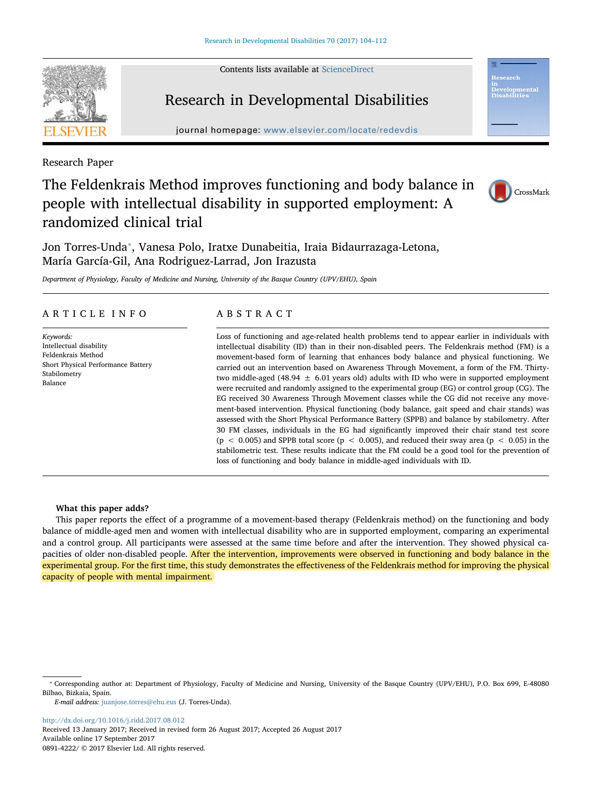Contents lists available at [ScienceDirect](http://www.sciencedirect.com/science/journal/08914222)



# Research in Developmental Disabilities

journal homepage: [www.elsevier.com/locate/redevdis](http://www.elsevier.com/locate/redevdis)

elopmen<br>bilities

## Research Paper

# The Feldenkrais Method improves functioning and body balance in people with intellectual disability in supported employment: A randomized clinical trial



Jon Torres-Unda[⁎](#page-0-0) , Vanesa Polo, Iratxe Dunabeitia, Iraia Bidaurrazaga-Letona, María García-Gil, Ana Rodriguez-Larrad, Jon Irazusta

Department of Physiology, Faculty of Medicine and Nursing, University of the Basque Country (UPV/EHU), Spain

## ARTICLE INFO

Keywords: Intellectual disability Feldenkrais Method Short Physical Performance Battery Stabilometry Balance

## ABSTRACT

Loss of functioning and age-related health problems tend to appear earlier in individuals with intellectual disability (ID) than in their non-disabled peers. The Feldenkrais method (FM) is a movement-based form of learning that enhances body balance and physical functioning. We carried out an intervention based on Awareness Through Movement, a form of the FM. Thirtytwo middle-aged (48.94  $\pm$  6.01 years old) adults with ID who were in supported employment were recruited and randomly assigned to the experimental group (EG) or control group (CG). The EG received 30 Awareness Through Movement classes while the CG did not receive any movement-based intervention. Physical functioning (body balance, gait speed and chair stands) was assessed with the Short Physical Performance Battery (SPPB) and balance by stabilometry. After 30 FM classes, individuals in the EG had significantly improved their chair stand test score  $(p < 0.005)$  and SPPB total score  $(p < 0.005)$ , and reduced their sway area  $(p < 0.05)$  in the stabilometric test. These results indicate that the FM could be a good tool for the prevention of loss of functioning and body balance in middle-aged individuals with ID.

#### What this paper adds?

This paper reports the effect of a programme of a movement-based therapy (Feldenkrais method) on the functioning and body balance of middle-aged men and women with intellectual disability who are in supported employment, comparing an experimental and a control group. All participants were assessed at the same time before and after the intervention. They showed physical capacities of older non-disabled people. After the intervention, improvements were observed in functioning and body balance in the experimental group. For the first time, this study demonstrates the effectiveness of the Feldenkrais method for improving the physical capacity of people with mental impairment.

<http://dx.doi.org/10.1016/j.ridd.2017.08.012>

Received 13 January 2017; Received in revised form 26 August 2017; Accepted 26 August 2017 Available online 17 September 2017

<span id="page-0-0"></span><sup>⁎</sup> Corresponding author at: Department of Physiology, Faculty of Medicine and Nursing, University of the Basque Country (UPV/EHU), P.O. Box 699, E-48080 Bilbao, Bizkaia, Spain.

E-mail address: [juanjose.torres@ehu.eus](mailto:juanjose.torres@ehu.eus) (J. Torres-Unda).

<sup>0891-4222/ © 2017</sup> Elsevier Ltd. All rights reserved.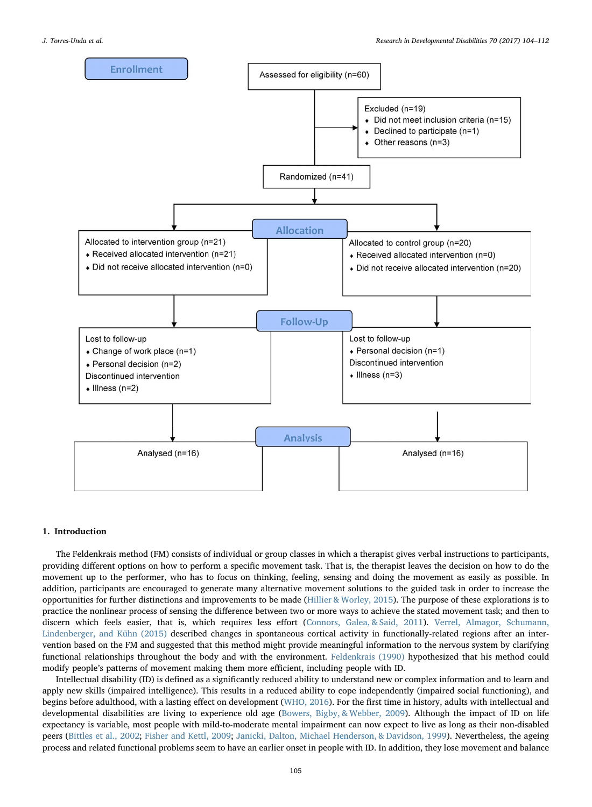

## 1. Introduction

The Feldenkrais method (FM) consists of individual or group classes in which a therapist gives verbal instructions to participants, providing different options on how to perform a specific movement task. That is, the therapist leaves the decision on how to do the movement up to the performer, who has to focus on thinking, feeling, sensing and doing the movement as easily as possible. In addition, participants are encouraged to generate many alternative movement solutions to the guided task in order to increase the opportunities for further distinctions and improvements to be made ([Hillier & Worley, 2015\)](#page-7-0). The purpose of these explorations is to practice the nonlinear process of sensing the difference between two or more ways to achieve the stated movement task; and then to discern which feels easier, that is, which requires less effort ([Connors, Galea, & Said, 2011](#page-7-1)). [Verrel, Almagor, Schumann,](#page-8-0) [Lindenberger, and Kühn \(2015\)](#page-8-0) described changes in spontaneous cortical activity in functionally-related regions after an intervention based on the FM and suggested that this method might provide meaningful information to the nervous system by clarifying functional relationships throughout the body and with the environment. [Feldenkrais \(1990\)](#page-7-2) hypothesized that his method could modify people's patterns of movement making them more efficient, including people with ID.

Intellectual disability (ID) is defined as a significantly reduced ability to understand new or complex information and to learn and apply new skills (impaired intelligence). This results in a reduced ability to cope independently (impaired social functioning), and begins before adulthood, with a lasting effect on development [\(WHO, 2016\)](#page-8-1). For the first time in history, adults with intellectual and developmental disabilities are living to experience old age [\(Bowers, Bigby, & Webber, 2009](#page-7-3)). Although the impact of ID on life expectancy is variable, most people with mild-to-moderate mental impairment can now expect to live as long as their non-disabled peers [\(Bittles et al., 2002](#page-7-4); [Fisher and Kettl, 2009;](#page-7-5) [Janicki, Dalton, Michael Henderson, & Davidson, 1999\)](#page-7-6). Nevertheless, the ageing process and related functional problems seem to have an earlier onset in people with ID. In addition, they lose movement and balance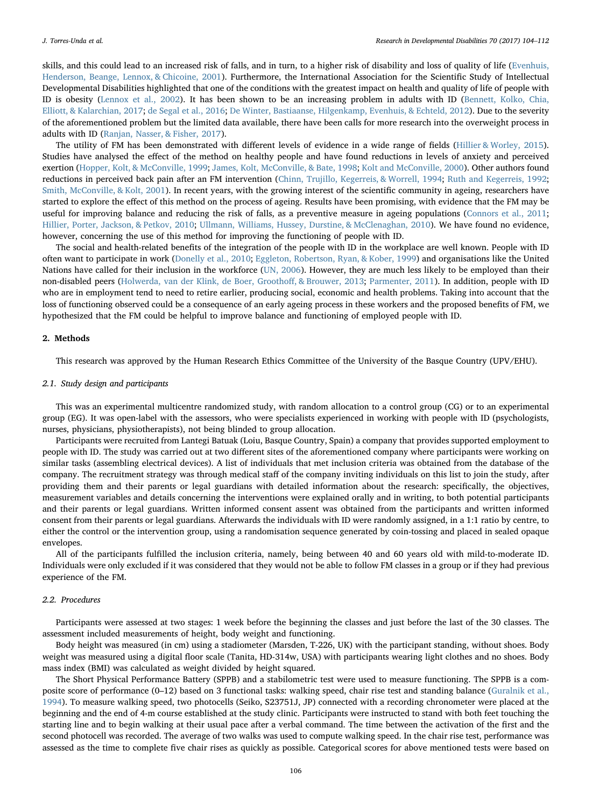skills, and this could lead to an increased risk of falls, and in turn, to a higher risk of disability and loss of quality of life ([Evenhuis,](#page-7-7) [Henderson, Beange, Lennox, & Chicoine, 2001\)](#page-7-7). Furthermore, the International Association for the Scientific Study of Intellectual Developmental Disabilities highlighted that one of the conditions with the greatest impact on health and quality of life of people with ID is obesity ([Lennox et al., 2002](#page-8-2)). It has been shown to be an increasing problem in adults with ID [\(Bennett, Kolko, Chia,](#page-7-8) [Elliott, & Kalarchian, 2017;](#page-7-8) [de Segal et al., 2016](#page-7-9); [De Winter, Bastiaanse, Hilgenkamp, Evenhuis, & Echteld, 2012\)](#page-7-10). Due to the severity of the aforementioned problem but the limited data available, there have been calls for more research into the overweight process in adults with ID [\(Ranjan, Nasser, & Fisher, 2017](#page-8-3)).

The utility of FM has been demonstrated with different levels of evidence in a wide range of fields ([Hillier & Worley, 2015\)](#page-7-0). Studies have analysed the effect of the method on healthy people and have found reductions in levels of anxiety and perceived exertion [\(Hopper, Kolt, & McConville, 1999;](#page-7-11) [James, Kolt, McConville, & Bate, 1998;](#page-7-12) [Kolt and McConville, 2000\)](#page-7-13). Other authors found reductions in perceived back pain after an FM intervention [\(Chinn, Trujillo, Kegerreis, & Worrell, 1994;](#page-7-14) [Ruth and Kegerreis, 1992;](#page-8-4) [Smith, McConville, & Kolt, 2001](#page-8-5)). In recent years, with the growing interest of the scientific community in ageing, researchers have started to explore the effect of this method on the process of ageing. Results have been promising, with evidence that the FM may be useful for improving balance and reducing the risk of falls, as a preventive measure in ageing populations ([Connors et al., 2011;](#page-7-1) [Hillier, Porter, Jackson, & Petkov, 2010;](#page-7-15) [Ullmann, Williams, Hussey, Durstine, & McClenaghan, 2010](#page-8-6)). We have found no evidence, however, concerning the use of this method for improving the functioning of people with ID.

The social and health-related benefits of the integration of the people with ID in the workplace are well known. People with ID often want to participate in work [\(Donelly et al., 2010;](#page-7-16) [Eggleton, Robertson, Ryan, & Kober, 1999\)](#page-7-17) and organisations like the United Nations have called for their inclusion in the workforce ([UN, 2006\)](#page-8-7). However, they are much less likely to be employed than their non-disabled peers [\(Holwerda, van der Klink, de Boer, Grootho](#page-7-18)ff, & Brouwer, 2013; [Parmenter, 2011\)](#page-8-8). In addition, people with ID who are in employment tend to need to retire earlier, producing social, economic and health problems. Taking into account that the loss of functioning observed could be a consequence of an early ageing process in these workers and the proposed benefits of FM, we hypothesized that the FM could be helpful to improve balance and functioning of employed people with ID.

#### 2. Methods

This research was approved by the Human Research Ethics Committee of the University of the Basque Country (UPV/EHU).

#### 2.1. Study design and participants

This was an experimental multicentre randomized study, with random allocation to a control group (CG) or to an experimental group (EG). It was open-label with the assessors, who were specialists experienced in working with people with ID (psychologists, nurses, physicians, physiotherapists), not being blinded to group allocation.

Participants were recruited from Lantegi Batuak (Loiu, Basque Country, Spain) a company that provides supported employment to people with ID. The study was carried out at two different sites of the aforementioned company where participants were working on similar tasks (assembling electrical devices). A list of individuals that met inclusion criteria was obtained from the database of the company. The recruitment strategy was through medical staff of the company inviting individuals on this list to join the study, after providing them and their parents or legal guardians with detailed information about the research: specifically, the objectives, measurement variables and details concerning the interventions were explained orally and in writing, to both potential participants and their parents or legal guardians. Written informed consent assent was obtained from the participants and written informed consent from their parents or legal guardians. Afterwards the individuals with ID were randomly assigned, in a 1:1 ratio by centre, to either the control or the intervention group, using a randomisation sequence generated by coin-tossing and placed in sealed opaque envelopes.

All of the participants fulfilled the inclusion criteria, namely, being between 40 and 60 years old with mild-to-moderate ID. Individuals were only excluded if it was considered that they would not be able to follow FM classes in a group or if they had previous experience of the FM.

## 2.2. Procedures

Participants were assessed at two stages: 1 week before the beginning the classes and just before the last of the 30 classes. The assessment included measurements of height, body weight and functioning.

Body height was measured (in cm) using a stadiometer (Marsden, T-226, UK) with the participant standing, without shoes. Body weight was measured using a digital floor scale (Tanita, HD-314w, USA) with participants wearing light clothes and no shoes. Body mass index (BMI) was calculated as weight divided by height squared.

The Short Physical Performance Battery (SPPB) and a stabilometric test were used to measure functioning. The SPPB is a composite score of performance (0–12) based on 3 functional tasks: walking speed, chair rise test and standing balance [\(Guralnik et al.,](#page-7-19) [1994\)](#page-7-19). To measure walking speed, two photocells (Seiko, S23751J, JP) connected with a recording chronometer were placed at the beginning and the end of 4-m course established at the study clinic. Participants were instructed to stand with both feet touching the starting line and to begin walking at their usual pace after a verbal command. The time between the activation of the first and the second photocell was recorded. The average of two walks was used to compute walking speed. In the chair rise test, performance was assessed as the time to complete five chair rises as quickly as possible. Categorical scores for above mentioned tests were based on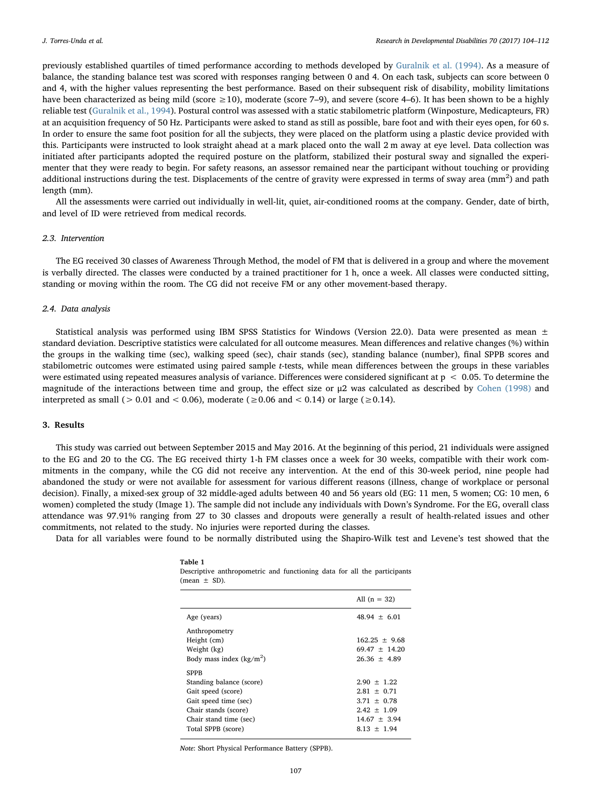previously established quartiles of timed performance according to methods developed by [Guralnik et al. \(1994\).](#page-7-19) As a measure of balance, the standing balance test was scored with responses ranging between 0 and 4. On each task, subjects can score between 0 and 4, with the higher values representing the best performance. Based on their subsequent risk of disability, mobility limitations have been characterized as being mild (score  $\geq$ 10), moderate (score 7–9), and severe (score 4–6). It has been shown to be a highly reliable test ([Guralnik et al., 1994\)](#page-7-19). Postural control was assessed with a static stabilometric platform (Winposture, Medicapteurs, FR) at an acquisition frequency of 50 Hz. Participants were asked to stand as still as possible, bare foot and with their eyes open, for 60 s. In order to ensure the same foot position for all the subjects, they were placed on the platform using a plastic device provided with this. Participants were instructed to look straight ahead at a mark placed onto the wall 2 m away at eye level. Data collection was initiated after participants adopted the required posture on the platform, stabilized their postural sway and signalled the experimenter that they were ready to begin. For safety reasons, an assessor remained near the participant without touching or providing additional instructions during the test. Displacements of the centre of gravity were expressed in terms of sway area  $\text{(mm}^2\text{)}$  and path length (mm).

All the assessments were carried out individually in well-lit, quiet, air-conditioned rooms at the company. Gender, date of birth, and level of ID were retrieved from medical records.

## 2.3. Intervention

The EG received 30 classes of Awareness Through Method, the model of FM that is delivered in a group and where the movement is verbally directed. The classes were conducted by a trained practitioner for 1 h, once a week. All classes were conducted sitting, standing or moving within the room. The CG did not receive FM or any other movement-based therapy.

## 2.4. Data analysis

Statistical analysis was performed using IBM SPSS Statistics for Windows (Version 22.0). Data were presented as mean ± standard deviation. Descriptive statistics were calculated for all outcome measures. Mean differences and relative changes (%) within the groups in the walking time (sec), walking speed (sec), chair stands (sec), standing balance (number), final SPPB scores and stabilometric outcomes were estimated using paired sample t-tests, while mean differences between the groups in these variables were estimated using repeated measures analysis of variance. Differences were considered significant at p < 0.05. To determine the magnitude of the interactions between time and group, the effect size or μ2 was calculated as described by [Cohen \(1998\)](#page-7-20) and interpreted as small (> 0.01 and < 0.06), moderate ( $\geq$ 0.06 and < 0.14) or large ( $\geq$ 0.14).

### 3. Results

This study was carried out between September 2015 and May 2016. At the beginning of this period, 21 individuals were assigned to the EG and 20 to the CG. The EG received thirty 1-h FM classes once a week for 30 weeks, compatible with their work commitments in the company, while the CG did not receive any intervention. At the end of this 30-week period, nine people had abandoned the study or were not available for assessment for various different reasons (illness, change of workplace or personal decision). Finally, a mixed-sex group of 32 middle-aged adults between 40 and 56 years old (EG: 11 men, 5 women; CG: 10 men, 6 women) completed the study (Image 1). The sample did not include any individuals with Down's Syndrome. For the EG, overall class attendance was 97.91% ranging from 27 to 30 classes and dropouts were generally a result of health-related issues and other commitments, not related to the study. No injuries were reported during the classes.

Data for all variables were found to be normally distributed using the Shapiro-Wilk test and Levene's test showed that the

All  $(n = 32)$ Age (years) 48.94  $\pm$  6.01 Anthropometry Height (cm) 162.25 ± 9.68 Weight (kg) 69.47  $\pm$  14.20 Body mass index  $(kg/m<sup>2</sup>)$  $26.36 \pm 4.89$ SPPB Standing balance (score) 2.90  $\pm$  1.22 Gait speed (score)  $2.81 \pm 0.71$ Gait speed time (sec)  $3.71 \pm 0.78$ Chair stands (score)  $2.42 \pm 1.09$ Chair stand time (sec)  $14.67 + 3.94$ Total SPPB (score)  $8.13 \pm 1.94$ 

Descriptive anthropometric and functioning data for all the participants  $(mean \pm SD)$ 

Note: Short Physical Performance Battery (SPPB).

<span id="page-3-0"></span>Table 1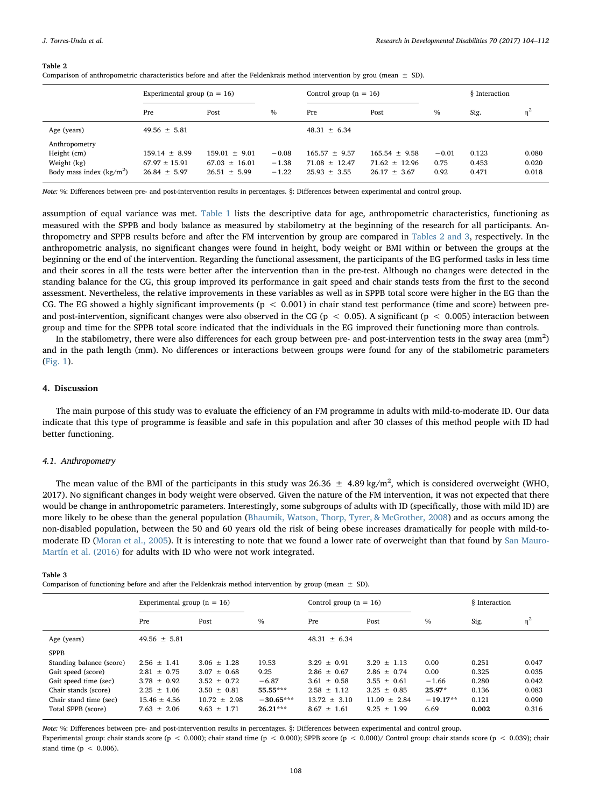#### <span id="page-4-0"></span>Table 2

Comparison of anthropometric characteristics before and after the Feldenkrais method intervention by grou (mean  $\pm$  SD).

|                                                                          | Experimental group $(n = 16)$                              |                                                          |                               | Control group $(n = 16)$                                 |                                                          |                         | § Interaction           |                         |
|--------------------------------------------------------------------------|------------------------------------------------------------|----------------------------------------------------------|-------------------------------|----------------------------------------------------------|----------------------------------------------------------|-------------------------|-------------------------|-------------------------|
|                                                                          | Pre                                                        | Post                                                     | $\%$                          | Pre                                                      | Post                                                     | $\%$                    | Sig.                    |                         |
| Age (years)                                                              | $49.56 \pm 5.81$                                           |                                                          |                               | $48.31 \pm 6.34$                                         |                                                          |                         |                         |                         |
| Anthropometry<br>Height (cm)<br>Weight (kg)<br>Body mass index $(kg/m2)$ | $159.14 \pm 8.99$<br>$67.97 \pm 15.91$<br>$26.84 \pm 5.97$ | $159.01 \pm 9.01$<br>$67.03 \pm 16.01$<br>$26.51 + 5.99$ | $-0.08$<br>$-1.38$<br>$-1.22$ | $165.57 \pm 9.57$<br>$71.08 \pm 12.47$<br>$25.93 + 3.55$ | $165.54 \pm 9.58$<br>$71.62 \pm 12.96$<br>$26.17 + 3.67$ | $-0.01$<br>0.75<br>0.92 | 0.123<br>0.453<br>0.471 | 0.080<br>0.020<br>0.018 |

Note: %: Differences between pre- and post-intervention results in percentages. §: Differences between experimental and control group.

assumption of equal variance was met. [Table 1](#page-3-0) lists the descriptive data for age, anthropometric characteristics, functioning as measured with the SPPB and body balance as measured by stabilometry at the beginning of the research for all participants. Anthropometry and SPPB results before and after the FM intervention by group are compared in [Tables 2 and 3](#page-4-0), respectively. In the anthropometric analysis, no significant changes were found in height, body weight or BMI within or between the groups at the beginning or the end of the intervention. Regarding the functional assessment, the participants of the EG performed tasks in less time and their scores in all the tests were better after the intervention than in the pre-test. Although no changes were detected in the standing balance for the CG, this group improved its performance in gait speed and chair stands tests from the first to the second assessment. Nevertheless, the relative improvements in these variables as well as in SPPB total score were higher in the EG than the CG. The EG showed a highly significant improvements ( $p < 0.001$ ) in chair stand test performance (time and score) between preand post-intervention, significant changes were also observed in the CG ( $p < 0.05$ ). A significant ( $p < 0.005$ ) interaction between group and time for the SPPB total score indicated that the individuals in the EG improved their functioning more than controls.

In the stabilometry, there were also differences for each group between pre- and post-intervention tests in the sway area  $\text{(mm}^2\text{)}$ and in the path length (mm). No differences or interactions between groups were found for any of the stabilometric parameters ([Fig. 1](#page-5-0)).

#### 4. Discussion

The main purpose of this study was to evaluate the efficiency of an FM programme in adults with mild-to-moderate ID. Our data indicate that this type of programme is feasible and safe in this population and after 30 classes of this method people with ID had better functioning.

#### 4.1. Anthropometry

The mean value of the BMI of the participants in this study was  $26.36 \pm 4.89 \text{ kg/m}^2$ , which is considered overweight (WHO, 2017). No significant changes in body weight were observed. Given the nature of the FM intervention, it was not expected that there would be change in anthropometric parameters. Interestingly, some subgroups of adults with ID (specifically, those with mild ID) are more likely to be obese than the general population [\(Bhaumik, Watson, Thorp, Tyrer, & McGrother, 2008\)](#page-7-21) and as occurs among the non-disabled population, between the 50 and 60 years old the risk of being obese increases dramatically for people with mild-to-moderate ID [\(Moran et al., 2005\)](#page-8-9). It is interesting to note that we found a lower rate of overweight than that found by [San Mauro-](#page-8-10)[Martín et al. \(2016\)](#page-8-10) for adults with ID who were not work integrated.

#### Table 3

Comparison of functioning before and after the Feldenkrais method intervention by group (mean  $\pm$  SD).

|                          | Experimental group ( $n = 16$ ) |                  |             | Control group $(n = 16)$ |                 |               | § Interaction |          |
|--------------------------|---------------------------------|------------------|-------------|--------------------------|-----------------|---------------|---------------|----------|
|                          | Pre                             | Post             | $\%$        | Pre                      | Post            | $\frac{0}{0}$ | Sig.          | $\eta^2$ |
| Age (years)              | $49.56 \pm 5.81$                |                  |             | $48.31 + 6.34$           |                 |               |               |          |
| <b>SPPB</b>              |                                 |                  |             |                          |                 |               |               |          |
| Standing balance (score) | $2.56 \pm 1.41$                 | $3.06 + 1.28$    | 19.53       | $3.29 + 0.91$            | $3.29 + 1.13$   | 0.00          | 0.251         | 0.047    |
| Gait speed (score)       | $2.81 \pm 0.75$                 | $3.07 \pm 0.68$  | 9.25        | $2.86 \pm 0.67$          | $2.86 \pm 0.74$ | 0.00          | 0.325         | 0.035    |
| Gait speed time (sec)    | $3.78 \pm 0.92$                 | $3.52 \pm 0.72$  | $-6.87$     | $3.61 \pm 0.58$          | $3.55 + 0.61$   | $-1.66$       | 0.280         | 0.042    |
| Chair stands (score)     | $2.25 + 1.06$                   | $3.50 \pm 0.81$  | 55.55***    | $2.58 + 1.12$            | $3.25 + 0.85$   | $25.97*$      | 0.136         | 0.083    |
| Chair stand time (sec)   | $15.46 \pm 4.56$                | $10.72 \pm 2.98$ | $-30.65***$ | $13.72 + 3.10$           | $11.09 + 2.84$  | $-19.17**$    | 0.121         | 0.090    |
| Total SPPB (score)       | $7.63 \pm 2.06$                 | $9.63 \pm 1.71$  | $26.21***$  | $8.67 + 1.61$            | $9.25 \pm 1.99$ | 6.69          | 0.002         | 0.316    |

Note: %: Differences between pre- and post-intervention results in percentages. §: Differences between experimental and control group.

Experimental group: chair stands score (p < 0.000); chair stand time (p < 0.000); SPPB score (p < 0.000)/ Control group: chair stands score (p < 0.039); chair stand time ( $p < 0.006$ ).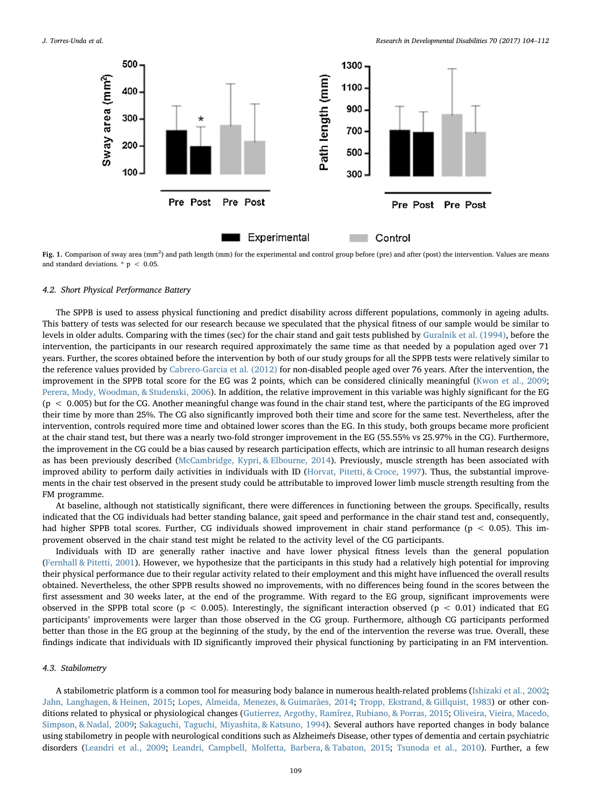<span id="page-5-0"></span>

Fig. 1. Comparison of sway area (mm<sup>2</sup>) and path length (mm) for the experimental and control group before (pre) and after (post) the intervention. Values are means and standard deviations.  $* p < 0.05$ .

## 4.2. Short Physical Performance Battery

The SPPB is used to assess physical functioning and predict disability across different populations, commonly in ageing adults. This battery of tests was selected for our research because we speculated that the physical fitness of our sample would be similar to levels in older adults. Comparing with the times (sec) for the chair stand and gait tests published by [Guralnik et al. \(1994\)](#page-7-19), before the intervention, the participants in our research required approximately the same time as that needed by a population aged over 71 years. Further, the scores obtained before the intervention by both of our study groups for all the SPPB tests were relatively similar to the reference values provided by [Cabrero-Garcia et al. \(2012\)](#page-7-22) for non-disabled people aged over 76 years. After the intervention, the improvement in the SPPB total score for the EG was 2 points, which can be considered clinically meaningful ([Kwon et al., 2009;](#page-7-23) [Perera, Mody, Woodman, & Studenski, 2006\)](#page-8-11). In addition, the relative improvement in this variable was highly significant for the EG  $(p < 0.005)$  but for the CG. Another meaningful change was found in the chair stand test, where the participants of the EG improved their time by more than 25%. The CG also significantly improved both their time and score for the same test. Nevertheless, after the intervention, controls required more time and obtained lower scores than the EG. In this study, both groups became more proficient at the chair stand test, but there was a nearly two-fold stronger improvement in the EG (55.55% vs 25.97% in the CG). Furthermore, the improvement in the CG could be a bias caused by research participation effects, which are intrinsic to all human research designs as has been previously described [\(McCambridge, Kypri, & Elbourne, 2014](#page-8-12)). Previously, muscle strength has been associated with improved ability to perform daily activities in individuals with ID ([Horvat, Pitetti, & Croce, 1997\)](#page-7-24). Thus, the substantial improvements in the chair test observed in the present study could be attributable to improved lower limb muscle strength resulting from the FM programme.

At baseline, although not statistically significant, there were differences in functioning between the groups. Specifically, results indicated that the CG individuals had better standing balance, gait speed and performance in the chair stand test and, consequently, had higher SPPB total scores. Further, CG individuals showed improvement in chair stand performance ( $p < 0.05$ ). This improvement observed in the chair stand test might be related to the activity level of the CG participants.

Individuals with ID are generally rather inactive and have lower physical fitness levels than the general population ([Fernhall & Pitetti, 2001](#page-7-25)). However, we hypothesize that the participants in this study had a relatively high potential for improving their physical performance due to their regular activity related to their employment and this might have influenced the overall results obtained. Nevertheless, the other SPPB results showed no improvements, with no differences being found in the scores between the first assessment and 30 weeks later, at the end of the programme. With regard to the EG group, significant improvements were observed in the SPPB total score ( $p < 0.005$ ). Interestingly, the significant interaction observed ( $p < 0.01$ ) indicated that EG participants' improvements were larger than those observed in the CG group. Furthermore, although CG participants performed better than those in the EG group at the beginning of the study, by the end of the intervention the reverse was true. Overall, these findings indicate that individuals with ID significantly improved their physical functioning by participating in an FM intervention.

## 4.3. Stabilometry

A stabilometric platform is a common tool for measuring body balance in numerous health-related problems [\(Ishizaki et al., 2002;](#page-7-26) [Jahn, Langhagen, & Heinen, 2015;](#page-7-27) [Lopes, Almeida, Menezes, & Guimarães, 2014;](#page-8-13) [Tropp, Ekstrand, & Gillquist, 1983](#page-8-14)) or other conditions related to physical or physiological changes ([Gutierrez, Argothy, Ramírez, Rubiano, & Porras, 2015;](#page-7-28) [Oliveira, Vieira, Macedo,](#page-8-15) [Simpson, & Nadal, 2009](#page-8-15); [Sakaguchi, Taguchi, Miyashita, & Katsuno, 1994](#page-8-16)). Several authors have reported changes in body balance using stabilometry in people with neurological conditions such as Alzheimeŕs Disease, other types of dementia and certain psychiatric disorders [\(Leandri et al., 2009;](#page-7-29) Leandri, [Campbell, Molfetta, Barbera, & Tabaton, 2015;](#page-8-17) [Tsunoda et al., 2010\)](#page-8-18). Further, a few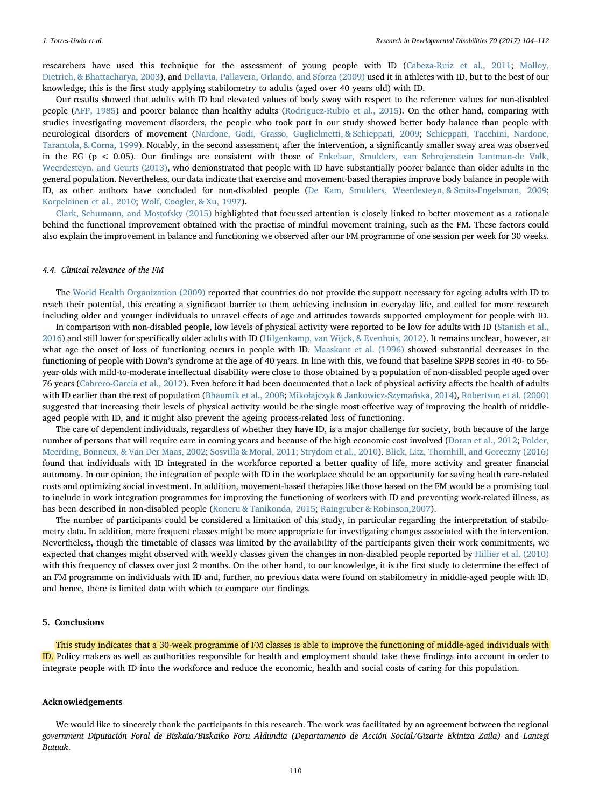researchers have used this technique for the assessment of young people with ID ([Cabeza-Ruiz et al., 2011](#page-7-30); [Molloy,](#page-8-19) [Dietrich, & Bhattacharya, 2003](#page-8-19)), and [Dellavia, Pallavera, Orlando, and Sforza \(2009\)](#page-7-31) used it in athletes with ID, but to the best of our knowledge, this is the first study applying stabilometry to adults (aged over 40 years old) with ID.

Our results showed that adults with ID had elevated values of body sway with respect to the reference values for non-disabled people ([AFP, 1985](#page-7-32)) and poorer balance than healthy adults [\(Rodriguez-Rubio et al., 2015\)](#page-8-20). On the other hand, comparing with studies investigating movement disorders, the people who took part in our study showed better body balance than people with neurological disorders of movement ([Nardone, Godi, Grasso, Guglielmetti, & Schieppati, 2009;](#page-8-21) [Schieppati, Tacchini, Nardone,](#page-8-22) [Tarantola, & Corna, 1999\)](#page-8-22). Notably, in the second assessment, after the intervention, a significantly smaller sway area was observed in the EG (p < 0.05). Our findings are consistent with those of [Enkelaar, Smulders, van Schrojenstein Lantman-de Valk,](#page-7-33) [Weerdesteyn, and Geurts \(2013\)](#page-7-33), who demonstrated that people with ID have substantially poorer balance than older adults in the general population. Nevertheless, our data indicate that exercise and movement-based therapies improve body balance in people with ID, as other authors have concluded for non-disabled people [\(De Kam, Smulders, Weerdesteyn, & Smits-Engelsman, 2009;](#page-7-34) [Korpelainen et al., 2010](#page-7-35); [Wolf, Coogler, & Xu, 1997](#page-8-23)).

[Clark, Schumann, and Mostofsky \(2015\)](#page-7-36) highlighted that focussed attention is closely linked to better movement as a rationale behind the functional improvement obtained with the practise of mindful movement training, such as the FM. These factors could also explain the improvement in balance and functioning we observed after our FM programme of one session per week for 30 weeks.

#### 4.4. Clinical relevance of the FM

The [World Health Organization \(2009\)](#page-8-24) reported that countries do not provide the support necessary for ageing adults with ID to reach their potential, this creating a significant barrier to them achieving inclusion in everyday life, and called for more research including older and younger individuals to unravel effects of age and attitudes towards supported employment for people with ID.

In comparison with non-disabled people, low levels of physical activity were reported to be low for adults with ID ([Stanish et al.,](#page-8-25) [2016\)](#page-8-25) and still lower for specifically older adults with ID ([Hilgenkamp, van Wijck, & Evenhuis, 2012](#page-7-37)). It remains unclear, however, at what age the onset of loss of functioning occurs in people with ID. [Maaskant et al. \(1996\)](#page-8-26) showed substantial decreases in the functioning of people with Down's syndrome at the age of 40 years. In line with this, we found that baseline SPPB scores in 40- to 56 year-olds with mild-to-moderate intellectual disability were close to those obtained by a population of non-disabled people aged over 76 years [\(Cabrero-Garcia et al., 2012](#page-7-22)). Even before it had been documented that a lack of physical activity affects the health of adults with ID earlier than the rest of population [\(Bhaumik et al., 2008;](#page-7-21) Mikoł[ajczyk & Jankowicz-Szyma](#page-8-27)ńska, 2014), [Robertson et al. \(2000\)](#page-8-28) suggested that increasing their levels of physical activity would be the single most effective way of improving the health of middleaged people with ID, and it might also prevent the ageing process-related loss of functioning.

The care of dependent individuals, regardless of whether they have ID, is a major challenge for society, both because of the large number of persons that will require care in coming years and because of the high economic cost involved [\(Doran et al., 2012;](#page-7-38) [Polder,](#page-8-29) [Meerding, Bonneux, & Van Der Maas, 2002](#page-8-29); [Sosvilla & Moral, 2011; Strydom et al., 2010\)](#page-8-30). [Blick, Litz, Thornhill, and Goreczny \(2016\)](#page-7-39) found that individuals with ID integrated in the workforce reported a better quality of life, more activity and greater financial autonomy. In our opinion, the integration of people with ID in the workplace should be an opportunity for saving health care-related costs and optimizing social investment. In addition, movement-based therapies like those based on the FM would be a promising tool to include in work integration programmes for improving the functioning of workers with ID and preventing work-related illness, as has been described in non-disabled people ([Koneru & Tanikonda, 2015](#page-7-40); [Raingruber & Robinson,2007](#page-8-31)).

The number of participants could be considered a limitation of this study, in particular regarding the interpretation of stabilometry data. In addition, more frequent classes might be more appropriate for investigating changes associated with the intervention. Nevertheless, though the timetable of classes was limited by the availability of the participants given their work commitments, we expected that changes might observed with weekly classes given the changes in non-disabled people reported by [Hillier et al. \(2010\)](#page-7-15) with this frequency of classes over just 2 months. On the other hand, to our knowledge, it is the first study to determine the effect of an FM programme on individuals with ID and, further, no previous data were found on stabilometry in middle-aged people with ID, and hence, there is limited data with which to compare our findings.

### 5. Conclusions

This study indicates that a 30-week programme of FM classes is able to improve the functioning of middle-aged individuals with ID. Policy makers as well as authorities responsible for health and employment should take these findings into account in order to integrate people with ID into the workforce and reduce the economic, health and social costs of caring for this population.

#### Acknowledgements

We would like to sincerely thank the participants in this research. The work was facilitated by an agreement between the regional government Diputación Foral de Bizkaia/Bizkaiko Foru Aldundia (Departamento de Acción Social/Gizarte Ekintza Zaila) and Lantegi Batuak.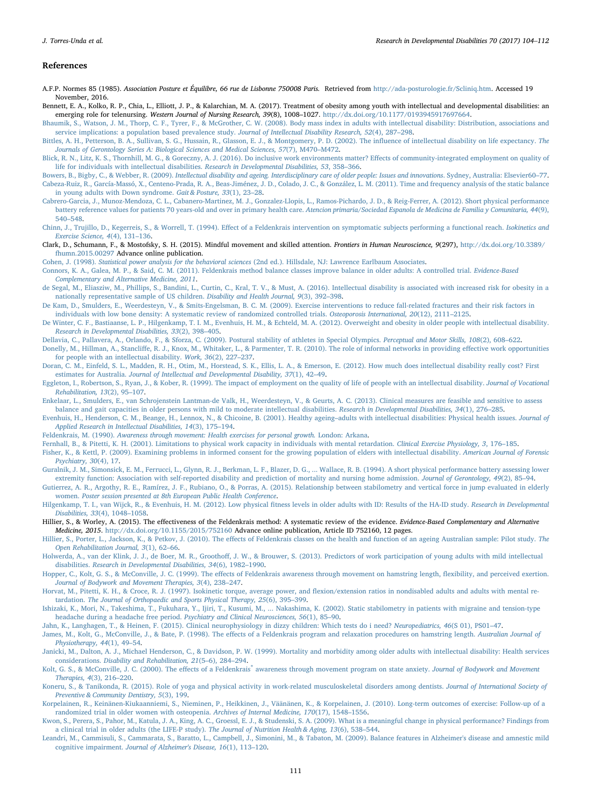#### References

- <span id="page-7-32"></span>A.F.P. Normes 85 (1985). Association Posture et Équilibre, 66 rue de Lisbonne 750008 Paris. Retrieved from <http://ada-posturologie.fr/Scliniq.htm>. Accessed 19 November, 2016.
- <span id="page-7-8"></span>Bennett, E. A., Kolko, R. P., Chia, L., Elliott, J. P., & Kalarchian, M. A. (2017). Treatment of obesity among youth with intellectual and developmental disabilities: an emerging role for telenursing. Western Journal of Nursing Research, 39(8), 1008-1027. <http://dx.doi.org/10.1177/0193945917697664>.
- <span id="page-7-21"></span>[Bhaumik, S., Watson, J. M., Thorp, C. F., Tyrer, F., & McGrother, C. W. \(2008\). Body mass index in adults with intellectual disability: Distribution, associations and](http://refhub.elsevier.com/S0891-4222(17)30214-7/sbref0015) [service implications: a population based prevalence study.](http://refhub.elsevier.com/S0891-4222(17)30214-7/sbref0015) Journal of Intellectual Disability Research, 52(4), 287–298.
- <span id="page-7-4"></span>[Bittles, A. H., Petterson, B. A., Sullivan, S. G., Hussain, R., Glasson, E. J., & Montgomery, P. D. \(2002\). The in](http://refhub.elsevier.com/S0891-4222(17)30214-7/sbref0020)fluence of intellectual disability on life expectancy. The [Journals of Gerontology Series A: Biological Sciences and Medical Sciences, 57](http://refhub.elsevier.com/S0891-4222(17)30214-7/sbref0020)(7), M470–M472.
- <span id="page-7-39"></span>[Blick, R. N., Litz, K. S., Thornhill, M. G., & Goreczny, A. J. \(2016\). Do inclusive work environments matter? E](http://refhub.elsevier.com/S0891-4222(17)30214-7/sbref0025)ffects of community-integrated employment on quality of [life for individuals with intellectual disabilities.](http://refhub.elsevier.com/S0891-4222(17)30214-7/sbref0025) Research in Developmental Disabilities, 53, 358–366.
- <span id="page-7-30"></span><span id="page-7-3"></span>Bowers, B., Bigby, C., & Webber, R. (2009). [Intellectual disability and ageing. Interdisciplinary care of older people: Issues and innovations](http://refhub.elsevier.com/S0891-4222(17)30214-7/sbref0030). Sydney, Australia: Elsevier60–77. [Cabeza-Ruiz, R., García-Massó, X., Centeno-Prada, R. A., Beas-Jiménez, J. D., Colado, J. C., & González, L. M. \(2011\). Time and frequency analysis of the static balance](http://refhub.elsevier.com/S0891-4222(17)30214-7/sbref0035) [in young adults with Down syndrome.](http://refhub.elsevier.com/S0891-4222(17)30214-7/sbref0035) Gait & Posture, 33(1), 23–28.
- <span id="page-7-22"></span>[Cabrero-Garcia, J., Munoz-Mendoza, C. L., Cabanero-Martinez, M. J., Gonzalez-Llopis, L., Ramos-Pichardo, J. D., & Reig-Ferrer, A. \(2012\). Short physical performance](http://refhub.elsevier.com/S0891-4222(17)30214-7/sbref0040) [battery reference values for patients 70 years-old and over in primary health care.](http://refhub.elsevier.com/S0891-4222(17)30214-7/sbref0040) Atencion primaria/Sociedad Espanola de Medicina de Familia y Comunitaria, 44(9), 540–[548.](http://refhub.elsevier.com/S0891-4222(17)30214-7/sbref0040)
- <span id="page-7-14"></span>Chinn, J., Trujillo, D., Kegerreis, S., & Worrell, T. (1994). Eff[ect of a Feldenkrais intervention on symptomatic subjects performing a functional reach.](http://refhub.elsevier.com/S0891-4222(17)30214-7/sbref0045) Isokinetics and [Exercise Science, 4](http://refhub.elsevier.com/S0891-4222(17)30214-7/sbref0045)(4), 131–136.
- <span id="page-7-36"></span>Clark, D., Schumann, F., & Mostofsky, S. H. (2015). Mindful movement and skilled attention. Frontiers in Human Neuroscience, 9(297), [http://dx.doi.org/10.3389/](http://dx.doi.org/10.3389/fhumn.2015.00297) fhumn.2015.00297 [Advance online publication](http://dx.doi.org/10.3389/fhumn.2015.00297).
- <span id="page-7-20"></span>Cohen, J. (1998). Statistical power analysis for the behavioral sciences [\(2nd ed.\). Hillsdale, NJ: Lawrence Earlbaum Associates](http://refhub.elsevier.com/S0891-4222(17)30214-7/sbref0055).
- <span id="page-7-1"></span>[Connors, K. A., Galea, M. P., & Said, C. M. \(2011\). Feldenkrais method balance classes improve balance in older adults: A controlled trial.](http://refhub.elsevier.com/S0891-4222(17)30214-7/sbref0060) Evidence-Based [Complementary and Alternative Medicine, 2011](http://refhub.elsevier.com/S0891-4222(17)30214-7/sbref0060).
- <span id="page-7-9"></span>[de Segal, M., Eliasziw, M., Phillips, S., Bandini, L., Curtin, C., Kral, T. V., & Must, A. \(2016\). Intellectual disability is associated with increased risk for obesity in a](http://refhub.elsevier.com/S0891-4222(17)30214-7/sbref0065) [nationally representative sample of US children.](http://refhub.elsevier.com/S0891-4222(17)30214-7/sbref0065) Disability and Health Journal, 9(3), 392–398.
- <span id="page-7-34"></span>[De Kam, D., Smulders, E., Weerdesteyn, V., & Smits-Engelsman, B. C. M. \(2009\). Exercise interventions to reduce fall-related fractures and their risk factors in](http://refhub.elsevier.com/S0891-4222(17)30214-7/sbref0070) [individuals with low bone density: A systematic review of randomized controlled trials.](http://refhub.elsevier.com/S0891-4222(17)30214-7/sbref0070) Osteoporosis International, 20(12), 2111–2125.
- <span id="page-7-10"></span>De [Winter, C. F., Bastiaanse, L. P., Hilgenkamp, T. I. M., Evenhuis, H. M., & Echteld, M. A. \(2012\). Overweight and obesity in older people with intellectual disability.](http://refhub.elsevier.com/S0891-4222(17)30214-7/sbref0075) [Research in Developmental Disabilities, 33](http://refhub.elsevier.com/S0891-4222(17)30214-7/sbref0075)(2), 398–405.
- <span id="page-7-31"></span>[Dellavia, C., Pallavera, A., Orlando, F., & Sforza, C. \(2009\). Postural stability of athletes in Special Olympics.](http://refhub.elsevier.com/S0891-4222(17)30214-7/sbref0080) Perceptual and Motor Skills, 108(2), 608–622.

<span id="page-7-16"></span>Donelly, M., Hillman, A., Stancliff[e, R. J., Knox, M., Whitaker, L., & Parmenter, T. R. \(2010\). The role of informal networks in providing e](http://refhub.elsevier.com/S0891-4222(17)30214-7/sbref0085)ffective work opportunities [for people with an intellectual disability.](http://refhub.elsevier.com/S0891-4222(17)30214-7/sbref0085) Work, 36(2), 227–237.

- <span id="page-7-38"></span>[Doran, C. M., Einfeld, S. L., Madden, R. H., Otim, M., Horstead, S. K., Ellis, L. A., & Emerson, E. \(2012\). How much does intellectual disability really cost? First](http://refhub.elsevier.com/S0891-4222(17)30214-7/sbref0090) estimates for Australia. [Journal of Intellectual and Developmental Disability, 37](http://refhub.elsevier.com/S0891-4222(17)30214-7/sbref0090)(1), 42–49.
- <span id="page-7-17"></span>[Eggleton, I., Robertson, S., Ryan, J., & Kober, R. \(1999\). The impact of employment on the quality of life of people with an intellectual disability.](http://refhub.elsevier.com/S0891-4222(17)30214-7/sbref0095) Journal of Vocational [Rehabilitation, 13](http://refhub.elsevier.com/S0891-4222(17)30214-7/sbref0095)(2), 95–107.

<span id="page-7-33"></span>[Enkelaar, L., Smulders, E., van Schrojenstein Lantman-de Valk, H., Weerdesteyn, V., & Geurts, A. C. \(2013\). Clinical measures are feasible and sensitive to assess](http://refhub.elsevier.com/S0891-4222(17)30214-7/sbref0100) [balance and gait capacities in older persons with mild to moderate intellectual disabilities.](http://refhub.elsevier.com/S0891-4222(17)30214-7/sbref0100) Research in Developmental Disabilities, 34(1), 276–285.

- <span id="page-7-7"></span>[Evenhuis, H., Henderson, C. M., Beange, H., Lennox, N., & Chicoine, B. \(2001\). Healthy ageing](http://refhub.elsevier.com/S0891-4222(17)30214-7/sbref0105)–adults with intellectual disabilities: Physical health issues. Journal of [Applied Research in Intellectual Disabilities, 14](http://refhub.elsevier.com/S0891-4222(17)30214-7/sbref0105)(3), 175–194.
- <span id="page-7-2"></span>Feldenkrais, M. (1990). [Awareness through movement: Health exercises for personal growth.](http://refhub.elsevier.com/S0891-4222(17)30214-7/sbref0110) London: Arkana.
- <span id="page-7-25"></span>[Fernhall, B., & Pitetti, K. H. \(2001\). Limitations to physical work capacity in individuals with mental retardation.](http://refhub.elsevier.com/S0891-4222(17)30214-7/sbref0115) Clinical Exercise Physiology, 3, 176–185.
- <span id="page-7-5"></span>[Fisher, K., & Kettl, P. \(2009\). Examining problems in informed consent for the growing population of elders with intellectual disability.](http://refhub.elsevier.com/S0891-4222(17)30214-7/sbref0120) American Journal of Forensic [Psychiatry, 30](http://refhub.elsevier.com/S0891-4222(17)30214-7/sbref0120)(4), 17.
- <span id="page-7-19"></span>[Guralnik, J. M., Simonsick, E. M., Ferrucci, L., Glynn, R. J., Berkman, L. F., Blazer, D. G., ... Wallace, R. B. \(1994\). A short physical performance battery assessing lower](http://refhub.elsevier.com/S0891-4222(17)30214-7/sbref0125) [extremity function: Association with self-reported disability and prediction of mortality and nursing home admission.](http://refhub.elsevier.com/S0891-4222(17)30214-7/sbref0125) Journal of Gerontology, 49(2), 85-94.
- <span id="page-7-28"></span>[Gutierrez, A. R., Argothy, R. E., Ramírez, J. F., Rubiano, O., & Porras, A. \(2015\). Relationship between stabilometry and vertical force in jump evaluated in elderly](http://refhub.elsevier.com/S0891-4222(17)30214-7/sbref0130) women. [Poster session presented at 8th European Public Health Conference](http://refhub.elsevier.com/S0891-4222(17)30214-7/sbref0130).

<span id="page-7-37"></span>[Hilgenkamp, T. I., van Wijck, R., & Evenhuis, H. M. \(2012\). Low physical](http://refhub.elsevier.com/S0891-4222(17)30214-7/sbref0135) fitness levels in older adults with ID: Results of the HA-ID study. Research in Developmental [Disabilities, 33](http://refhub.elsevier.com/S0891-4222(17)30214-7/sbref0135)(4), 1048–1058.

- <span id="page-7-0"></span>Hillier, S., & Worley, A. (2015). The effectiveness of the Feldenkrais method: A systematic review of the evidence. Evidence-Based Complementary and Alternative Medicine, 2015. http://dx.doi.org/10.1155/2015/752160 Advance [online publication, Article ID 752160, 12 pages](http://dx.doi.org/10.1155/2015/752160).
- <span id="page-7-15"></span>Hillier, S., Porter, L., Jackson, K., & Petkov, J. (2010). The eff[ects of Feldenkrais classes on the health and function of an ageing Australian sample: Pilot study.](http://refhub.elsevier.com/S0891-4222(17)30214-7/sbref0145) The [Open Rehabilitation Journal, 3](http://refhub.elsevier.com/S0891-4222(17)30214-7/sbref0145)(1), 62–66.
- <span id="page-7-18"></span>Holwerda, A., van der Klink, J. J., de Boer, M. R., Groothoff[, J. W., & Brouwer, S. \(2013\). Predictors of work participation of young adults with mild intellectual](http://refhub.elsevier.com/S0891-4222(17)30214-7/sbref0150) disabilities. [Research in Developmental Disabilities, 34](http://refhub.elsevier.com/S0891-4222(17)30214-7/sbref0150)(6), 1982–1990.
- <span id="page-7-11"></span>Hopper, C., Kolt, G. S., & McConville, J. C. (1999). The eff[ects of Feldenkrais awareness through movement on hamstring length,](http://refhub.elsevier.com/S0891-4222(17)30214-7/sbref0155) flexibility, and perceived exertion. [Journal of Bodywork and Movement Therapies, 3](http://refhub.elsevier.com/S0891-4222(17)30214-7/sbref0155)(4), 238–247.
- <span id="page-7-24"></span>[Horvat, M., Pitetti, K. H., & Croce, R. J. \(1997\). Isokinetic torque, average power, and](http://refhub.elsevier.com/S0891-4222(17)30214-7/sbref0160) flexion/extension ratios in nondisabled adults and adults with mental retardation. [The Journal of Orthopaedic and Sports Physical Therapy, 25](http://refhub.elsevier.com/S0891-4222(17)30214-7/sbref0160)(6), 395–399.
- <span id="page-7-26"></span>[Ishizaki, K., Mori, N., Takeshima, T., Fukuhara, Y., Ijiri, T., Kusumi, M., ... Nakashima, K. \(2002\). Static stabilometry in patients with migraine and tension](http://refhub.elsevier.com/S0891-4222(17)30214-7/sbref0165)‐type [headache during a headache free period.](http://refhub.elsevier.com/S0891-4222(17)30214-7/sbref0165) Psychiatry and Clinical Neurosciences, 56(1), 85–90.

<span id="page-7-27"></span>[Jahn, K., Langhagen, T., & Heinen, F. \(2015\). Clinical neurophysiology in dizzy children: Which tests do i need?](http://refhub.elsevier.com/S0891-4222(17)30214-7/sbref0170) Neuropediatrics, 46(S 01), PS01–47.

<span id="page-7-12"></span>James, M., Kolt, G., McConville, J., & Bate, P. (1998). The eff[ects of a Feldenkrais program and relaxation procedures on hamstring length.](http://refhub.elsevier.com/S0891-4222(17)30214-7/sbref0175) Australian Journal of [Physiotherapy, 44](http://refhub.elsevier.com/S0891-4222(17)30214-7/sbref0175)(1), 49–54.

<span id="page-7-6"></span>[Janicki, M., Dalton, A. J., Michael Henderson, C., & Davidson, P. W. \(1999\). Mortality and morbidity among older adults with intellectual disability: Health services](http://refhub.elsevier.com/S0891-4222(17)30214-7/sbref0180) considerations. [Disability and Rehabilitation, 21](http://refhub.elsevier.com/S0891-4222(17)30214-7/sbref0180)(5–6), 284–294.

<span id="page-7-13"></span>Kolt, G. S., & McConville, J. C. (2000). The effects of a Feldenkrais® [awareness through movement program on state anxiety.](http://refhub.elsevier.com/S0891-4222(17)30214-7/sbref0185) Journal of Bodywork and Movement [Therapies, 4](http://refhub.elsevier.com/S0891-4222(17)30214-7/sbref0185)(3), 216–220.

- <span id="page-7-40"></span>[Koneru, S., & Tanikonda, R. \(2015\). Role of yoga and physical activity in work-related musculoskeletal disorders among dentists.](http://refhub.elsevier.com/S0891-4222(17)30214-7/sbref0190) Journal of International Society of [Preventive & Community Dentistry, 5](http://refhub.elsevier.com/S0891-4222(17)30214-7/sbref0190)(3), 199.
- <span id="page-7-35"></span>[Korpelainen, R., Keinänen-Kiukaanniemi, S., Nieminen, P., Heikkinen, J., Väänänen, K., & Korpelainen, J. \(2010\). Long-term outcomes of exercise: Follow-up of a](http://refhub.elsevier.com/S0891-4222(17)30214-7/sbref0195) [randomized trial in older women with osteopenia.](http://refhub.elsevier.com/S0891-4222(17)30214-7/sbref0195) Archives of Internal Medicine, 170(17), 1548–1556.
- <span id="page-7-23"></span>[Kwon, S., Perera, S., Pahor, M., Katula, J. A., King, A. C., Groessl, E. J., & Studenski, S. A. \(2009\). What is a meaningful change in physical performance? Findings from](http://refhub.elsevier.com/S0891-4222(17)30214-7/sbref0200) [a clinical trial in older adults \(the LIFE-P study\).](http://refhub.elsevier.com/S0891-4222(17)30214-7/sbref0200) The Journal of Nutrition Health & Aging, 13(6), 538–544.
- <span id="page-7-29"></span>[Leandri, M., Cammisuli, S., Cammarata, S., Baratto, L., Campbell, J., Simonini, M., & Tabaton, M. \(2009\). Balance features in Alzheimer's disease and amnestic mild](http://refhub.elsevier.com/S0891-4222(17)30214-7/sbref0205) cognitive impairment. [Journal of Alzheimer's Disease, 16](http://refhub.elsevier.com/S0891-4222(17)30214-7/sbref0205)(1), 113–120.